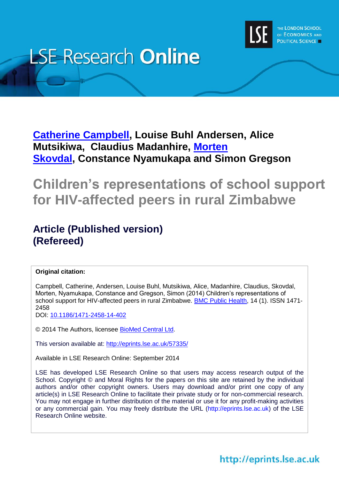

# **LSE Research Online**

## **Catherine [Campbell,](http://www.lse.ac.uk/researchAndExpertise/Experts/profile.aspx?KeyValue=c.campbell@lse.ac.uk) Louise Buhl Andersen, Alice Mutsikiwa, Claudius Madanhire, [Morten](http://www.lse.ac.uk/researchAndExpertise/Experts/profile.aspx?KeyValue=m.skovdal@lse.ac.uk) [Skovdal,](http://www.lse.ac.uk/researchAndExpertise/Experts/profile.aspx?KeyValue=m.skovdal@lse.ac.uk) Constance Nyamukapa and Simon Gregson**

## **Children's representations of school support for HIV-affected peers in rural Zimbabwe**

## **Article (Published version) (Refereed)**

#### **Original citation:**

Campbell, Catherine, Andersen, Louise Buhl, Mutsikiwa, Alice, Madanhire, Claudius, Skovdal, Morten, Nyamukapa, Constance and Gregson, Simon (2014) Children's representations of school support for HIV-affected peers in rural Zimbabwe. [BMC Public Health,](http://www.biomedcentral.com/1471-2458/14/402) 14 (1). ISSN 1471-2458

DOI:<10.1186/1471-2458-14-402>

© 2014 The Authors, licensee [BioMed Central Ltd.](http://www.biomedcentral.com/)

This version available at:<http://eprints.lse.ac.uk/57335/>

Available in LSE Research Online: September 2014

LSE has developed LSE Research Online so that users may access research output of the School. Copyright © and Moral Rights for the papers on this site are retained by the individual authors and/or other copyright owners. Users may download and/or print one copy of any article(s) in LSE Research Online to facilitate their private study or for non-commercial research. You may not engage in further distribution of the material or use it for any profit-making activities or any commercial gain. You may freely distribute the URL (http://eprints.lse.ac.uk) of the LSE Research Online website.

## http://eprints.lse.ac.uk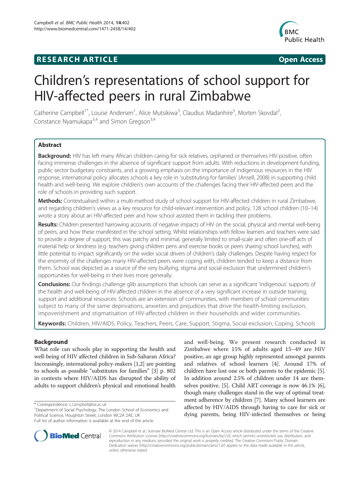### **RESEARCH ARTICLE Example 2014 12:30 The SEAR CHIPS 2014 12:30 The Open Access**



## Children's representations of school support for HIV-affected peers in rural Zimbabwe

Catherine Campbell<sup>1\*</sup>, Louise Andersen<sup>1</sup>, Alice Mutsikiwa<sup>3</sup>, Claudius Madanhire<sup>5</sup>, Morten Skovdal<sup>2</sup> , Constance Nyamukapa $3,4$  and Simon Gregson $3,4$ 

#### **Abstract**

Background: HIV has left many African children caring for sick relatives, orphaned or themselves HIV-positive, often facing immense challenges in the absence of significant support from adults. With reductions in development funding, public sector budgetary constraints, and a growing emphasis on the importance of indigenous resources in the HIV response, international policy allocates schools a key role in 'substituting for families' (Ansell, 2008) in supporting child health and well-being. We explore children's own accounts of the challenges facing their HIV-affected peers and the role of schools in providing such support.

Methods: Contextualised within a multi-method study of school support for HIV-affected children in rural Zimbabwe, and regarding children's views as a key resource for child-relevant intervention and policy, 128 school children (10–14) wrote a story about an HIV-affected peer and how school assisted them in tackling their problems.

Results: Children presented harrowing accounts of negative impacts of HIV on the social, physical and mental well-being of peers, and how these manifested in the school setting. Whilst relationships with fellow learners and teachers were said to provide a degree of support, this was patchy and minimal, generally limited to small-scale and often one-off acts of material help or kindness (e.g. teachers giving children pens and exercise books or peers sharing school lunches), with little potential to impact significantly on the wider social drivers of children's daily challenges. Despite having respect for the enormity of the challenges many HIV-affected peers were coping with, children tended to keep a distance from them. School was depicted as a source of the very bullying, stigma and social exclusion that undermined children's opportunities for well-being in their lives more generally.

**Conclusions:** Our findings challenge glib assumptions that schools can serve as a significant 'indigenous' supports of the health and well-being of HIV-affected children in the absence of a very significant increase in outside training, support and additional resources. Schools are an extension of communities, with members of school communities subject to many of the same deprivations, anxieties and prejudices that drive the health-limiting exclusion, impoverishment and stigmatisation of HIV-affected children in their households and wider communities.

Keywords: Children, HIV/AIDS, Policy, Teachers, Peers, Care, Support, Stigma, Social exclusion, Coping, Schools

#### **Background**

What role can schools play in supporting the health and well-being of HIV affected children in Sub-Saharan Africa? Increasingly, international policy-makers [[1](#page-12-0),[2](#page-12-0)] are pointing to schools as possible "substitutes for families" [[3\]](#page-12-0) p. 802 in contexts where HIV/AIDS has disrupted the ability of adults to support children's physical and emotional health

<sup>1</sup>Department of Social Psychology, The London School of Economics and Political Science, Houghton Street, London WC2A 2AE, UK

and well-being. We present research conducted in Zimbabwe where 15% of adults aged 15–49 are HIV positive, an age group highly represented amongst parents and relatives of school learners [\[4](#page-12-0)]. Around 17% of children have lost one or both parents to the epidemic [[5](#page-12-0)]. In addition around 2.5% of children under 14 are themselves positive. [\[5\]](#page-12-0). Child ART coverage is now 46.1% [[6](#page-12-0)], though many challenges stand in the way of optimal treatment adherence by children [[7\]](#page-12-0). Many school learners are affected by HIV/AIDS through having to care for sick or dying parents, being HIV-infected themselves or being



© 2014 Campbell et al.; licensee BioMed Central Ltd. This is an Open Access article distributed under the terms of the Creative Commons Attribution License [\(http://creativecommons.org/licenses/by/2.0\)](http://creativecommons.org/licenses/by/2.0), which permits unrestricted use, distribution, and reproduction in any medium, provided the original work is properly credited. The Creative Commons Public Domain Dedication waiver [\(http://creativecommons.org/publicdomain/zero/1.0/](http://creativecommons.org/publicdomain/zero/1.0/)) applies to the data made available in this article, unless otherwise stated.

<sup>\*</sup> Correspondence: [c.campbell@lse.ac.uk](mailto:c.campbell@lse.ac.uk) <sup>1</sup>

Full list of author information is available at the end of the article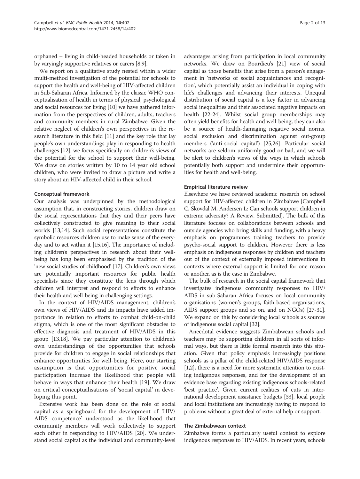orphaned – living in child-headed households or taken in by varyingly supportive relatives or carers [\[8,9](#page-12-0)].

We report on a qualitative study nested within a wider multi-method investigation of the potential for schools to support the health and well-being of HIV-affected children in Sub-Saharan Africa. Informed by the classic WHO conceptualisation of health in terms of physical, psychological and social resources for living [\[10\]](#page-12-0) we have gathered information from the perspectives of children, adults, teachers and community members in rural Zimbabwe. Given the relative neglect of children's own perspectives in the research literature in this field [\[11\]](#page-12-0) and the key role that lay people's own understandings play in responding to health challenges [[12](#page-12-0)], we focus specifically on children's views of the potential for the school to support their well-being. We draw on stories written by 10 to 14 year old school children, who were invited to draw a picture and write a story about an HIV-affected child in their school.

#### Conceptual framework

Our analysis was underpinned by the methodological assumption that, in constructing stories, children draw on the social representations that they and their peers have collectively constructed to give meaning to their social worlds [\[13,14](#page-12-0)]. Such social representations constitute the symbolic resources children use to make sense of the everyday and to act within it [\[15,16](#page-13-0)]. The importance of including children's perspectives in research about their wellbeing has long been emphasised by the tradition of the 'new social studies of childhood' [\[17](#page-13-0)]. Children's own views are potentially important resources for public health specialists since they constitute the lens through which children will interpret and respond to efforts to enhance their health and well-being in challenging settings.

In the context of HIV/AIDS management, children's own views of HIV/AIDS and its impacts have added importance in relation to efforts to combat child-on-child stigma, which is one of the most significant obstacles to effective diagnosis and treatment of HIV/AIDS in this group [\[13,](#page-12-0)[18](#page-13-0)]. We pay particular attention to children's own understandings of the opportunities that schools provide for children to engage in social relationships that enhance opportunities for well-being. Here, our starting assumption is that opportunities for positive social participation increase the likelihood that people will behave in ways that enhance their health [[19\]](#page-13-0). We draw on critical conceptualisations of 'social capital' in developing this point.

Extensive work has been done on the role of social capital as a springboard for the development of 'HIV/ AIDS competence' understood as the likelihood that community members will work collectively to support each other in responding to HIV/AIDS [[20](#page-13-0)]. We understand social capital as the individual and community-level

advantages arising from participation in local community networks. We draw on Bourdieu's [[21](#page-13-0)] view of social capital as those benefits that arise from a person's engagement in 'networks of social acquaintances and recognition', which potentially assist an individual in coping with life's challenges and advancing their interests. Unequal distribution of social capital is a key factor in advancing social inequalities and their associated negative impacts on health [\[22-24\]](#page-13-0). Whilst social group memberships may often yield benefits for health and well-being, they can also be a source of health-damaging negative social norms, social exclusion and discrimination against out-group members ('anti-social capital') [\[25,26\]](#page-13-0). Particular social networks are seldom uniformly good or bad, and we will be alert to children's views of the ways in which schools potentially both support and undermine their opportunities for health and well-being.

#### Empirical literature review

Elsewhere we have reviewed academic research on school support for HIV-affected children in Zimbabwe [Campbell C, Skovdal M, Andersen L: Can schools support children in extreme adversity? A Review. Submitted]. The bulk of this literature focuses on collaborations between schools and outside agencies who bring skills and funding, with a heavy emphasis on programmes training teachers to provide psycho-social support to children. However there is less emphasis on indigenous responses by children and teachers out of the context of externally imposed interventions in contexts where external support is limited for one reason or another, as is the case in Zimbabwe.

The bulk of research in the social capital framework that investigates indigenous community responses to HIV/ AIDS in sub-Saharan Africa focuses on local community organisations (women's groups, faith-based organisations, AIDS support groups and so on, and on NGOs) [\[27-31](#page-13-0)]. We expand on this by considering local schools as sources of indigenous social capital [[32](#page-13-0)].

Anecdotal evidence suggests Zimbabwean schools and teachers may be supporting children in all sorts of informal ways, but there is little formal research into this situation. Given that policy emphasis increasingly positions schools as a pillar of the child-related HIV/AIDS response [[1,2](#page-12-0)], there is a need for more systematic attention to existing indigenous responses, and for the development of an evidence base regarding existing indigenous schools-related 'best practice'. Given current realities of cuts in international development assistance budgets [\[33](#page-13-0)], local people and local institutions are increasingly having to respond to problems without a great deal of external help or support.

#### The Zimbabwean context

Zimbabwe forms a particularly useful context to explore indigenous responses to HIV/AIDS. In recent years, schools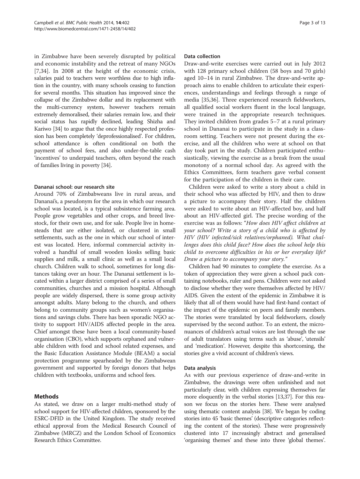in Zimbabwe have been severely disrupted by political and economic instability and the retreat of many NGOs [[7](#page-12-0)[,34](#page-13-0)]. In 2008 at the height of the economic crisis, salaries paid to teachers were worthless due to high inflation in the country, with many schools ceasing to function for several months. This situation has improved since the collapse of the Zimbabwe dollar and its replacement with the multi-currency system, however teachers remain extremely demoralised, their salaries remain low, and their social status has rapidly declined, leading Shizha and Kariwo [[34](#page-13-0)] to argue that the once highly respected profession has been completely 'deprofessionalised'. For children, school attendance is often conditional on both the payment of school fees, and also under-the-table cash 'incentives' to underpaid teachers, often beyond the reach of families living in poverty [\[34](#page-13-0)].

#### Dananai school: our research site

Around 70% of Zimbabweans live in rural areas, and Dananai's, a pseudonym for the area in which our research school was located, is a typical subsistence farming area. People grow vegetables and other crops, and breed livestock, for their own use, and for sale. People live in homesteads that are either isolated, or clustered in small settlements, such as the one in which our school of interest was located. Here, informal commercial activity involved a handful of small wooden kiosks selling basic supplies and milk, a small clinic as well as a small local church. Children walk to school, sometimes for long distances taking over an hour. The Dananai settlement is located within a larger district comprised of a series of small communities, churches and a mission hospital. Although people are widely dispersed, there is some group activity amongst adults. Many belong to the church, and others belong to community groups such as women's organisations and savings clubs. There has been sporadic NGO activity to support HIV/AIDS affected people in the area. Chief amongst these have been a local community-based organisation (CBO), which supports orphaned and vulnerable children with food and school related expenses, and the Basic Education Assistance Module (BEAM) a social protection programme spearheaded by the Zimbabwean government and supported by foreign donors that helps children with textbooks, uniforms and school fees.

#### Methods

As stated, we draw on a larger multi-method study of school support for HIV-affected children, sponsored by the ESRC-DFID in the United Kingdom. The study received ethical approval from the Medical Research Council of Zimbabwe (MRCZ) and the London School of Economics Research Ethics Committee.

#### Data collection

Draw-and-write exercises were carried out in July 2012 with 128 primary school children (58 boys and 70 girls) aged 10–14 in rural Zimbabwe. The draw-and-write approach aims to enable children to articulate their experiences, understandings and feelings through a range of media [[35,36](#page-13-0)]. Three experienced research fieldworkers, all qualified social workers fluent in the local language, were trained in the appropriate research techniques. They invited children from grades 5–7 at a rural primary school in Dananai to participate in the study in a classroom setting. Teachers were not present during the exercise, and all the children who were at school on that day took part in the study. Children participated enthusiastically, viewing the exercise as a break from the usual monotony of a normal school day. As agreed with the Ethics Committees, form teachers gave verbal consent for the participation of the children in their care.

Children were asked to write a story about a child in their school who was affected by HIV, and then to draw a picture to accompany their story. Half the children were asked to write about an HIV-affected boy, and half about an HIV-affected girl. The precise wording of the exercise was as follows: "How does HIV affect children at your school? Write a story of a child who is affected by HIV (HIV infected/sick relatives/orphaned). What challenges does this child face? How does the school help this child to overcome difficulties in his or her everyday life? Draw a picture to accompany your story."

Children had 90 minutes to complete the exercise. As a token of appreciation they were given a school pack containing notebooks, ruler and pens. Children were not asked to disclose whether they were themselves affected by HIV/ AIDS. Given the extent of the epidemic in Zimbabwe it is likely that all of them would have had first-hand contact of the impact of the epidemic on peers and family members. The stories were translated by local fieldworkers, closely supervised by the second author. To an extent, the micronuances of children's actual voices are lost through the use of adult translators using terms such as 'abuse', 'utensils' and 'medication'. However, despite this shortcoming, the stories give a vivid account of children's views.

#### Data analysis

As with our previous experience of draw-and-write in Zimbabwe, the drawings were often unfinished and not particularly clear, with children expressing themselves far more eloquently in the verbal stories [\[13,](#page-12-0)[37](#page-13-0)]. For this reason we focus on the stories here. These were analysed using thematic content analysis [\[38\]](#page-13-0). We began by coding stories into 45 'basic themes' (descriptive categories reflecting the content of the stories). These were progressively clustered into 17 increasingly abstract and generalised 'organising themes' and these into three 'global themes'.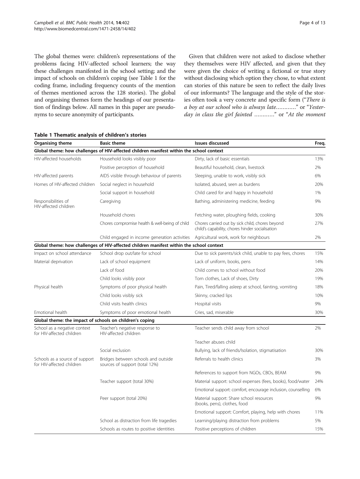<span id="page-4-0"></span>The global themes were: children's representations of the problems facing HIV-affected school learners; the way these challenges manifested in the school setting; and the impact of schools on children's coping (see Table 1 for the coding frame, including frequency counts of the mention of themes mentioned across the 128 stories). The global and organising themes form the headings of our presentation of findings below. All names in this paper are pseudonyms to secure anonymity of participants.

Given that children were not asked to disclose whether they themselves were HIV affected, and given that they were given the choice of writing a fictional or true story without disclosing which option they chose, to what extent can stories of this nature be seen to reflect the daily lives of our informants? The language and the style of the stories often took a very concrete and specific form ("There is a boy at our school who is always late…………" or "Yesterday in class the girl fainted …………" or "At the moment

| Organising theme                                            | <b>Basic theme</b>                                                                       | <b>Issues discussed</b>                                                                            | Freq. |
|-------------------------------------------------------------|------------------------------------------------------------------------------------------|----------------------------------------------------------------------------------------------------|-------|
|                                                             | Global theme: how challenges of HIV-affected children manifest within the school context |                                                                                                    |       |
| HIV-affected households                                     | Household looks visibly poor                                                             | Dirty, lack of basic essentials                                                                    | 13%   |
|                                                             | Positive perception of household                                                         | Beautiful household, clean, livestock                                                              | 2%    |
| HIV-affected parents                                        | AIDS visible through behaviour of parents                                                | Sleeping, unable to work, visibly sick                                                             | 6%    |
| Homes of HIV-affected children                              | Social neglect in household                                                              | Isolated, abused, seen as burdens                                                                  | 20%   |
|                                                             | Social support in household                                                              | Child cared for and happy in household                                                             | 1%    |
| Responsibilities of<br>HIV-affected children                | Caregiving                                                                               | Bathing, administering medicine, feeding                                                           | 9%    |
|                                                             | Household chores                                                                         | Fetching water, ploughing fields, cooking                                                          | 30%   |
|                                                             | Chores compromise health & well-being of child                                           | Chores carried out by sick child, chores beyond<br>child's capability, chores hinder socialisation | 27%   |
|                                                             | Child engaged in income generation activities                                            | Agricultural work, work for neighbours                                                             | 2%    |
|                                                             | Global theme: how challenges of HIV-affected children manifest within the school context |                                                                                                    |       |
| Impact on school attendance                                 | School drop out/late for school                                                          | Due to sick parents/sick child, unable to pay fees, chores                                         | 15%   |
| Material deprivation                                        | Lack of school equipment                                                                 | Lack of uniform, books, pens                                                                       | 14%   |
|                                                             | Lack of food                                                                             | Child comes to school without food                                                                 | 20%   |
|                                                             | Child looks visibly poor                                                                 | Torn clothes, Lack of shoes, Dirty                                                                 | 19%   |
| Physical health                                             | Symptoms of poor physical health                                                         | Pain, Tired/falling asleep at school, fainting, vomiting                                           | 18%   |
|                                                             | Child looks visibly sick                                                                 | Skinny, cracked lips                                                                               | 10%   |
|                                                             | Child visits health clinics                                                              | Hospital visits                                                                                    | 9%    |
| Emotional health                                            | Symptoms of poor emotional health                                                        | Cries, sad, miserable                                                                              | 30%   |
| Global theme: the impact of schools on children's coping    |                                                                                          |                                                                                                    |       |
| School as a negative context<br>for HIV-affected children   | Teacher's negative response to<br>HIV-affected children                                  | Teacher sends child away from school                                                               | 2%    |
|                                                             |                                                                                          | Teacher abuses child                                                                               |       |
|                                                             | Social exclusion                                                                         | Bullying, lack of friends/Isolation, stigmatisation                                                | 30%   |
| Schools as a source of support<br>for HIV-affected children | Bridges between schools and outside<br>sources of support (total 12%)                    | Referrals to health clinics                                                                        | 3%    |
|                                                             |                                                                                          | References to support from NGOs, CBOs, BEAM                                                        | 9%    |
|                                                             | Teacher support (total 30%)                                                              | Material support: school expenses (fees, books), food/water                                        | 24%   |
|                                                             |                                                                                          | Emotional support: comfort, encourage inclusion, counselling                                       | 6%    |
|                                                             | Peer support (total 20%)                                                                 | Material support: Share school resources<br>(books, pens), clothes, food                           | 9%    |
|                                                             |                                                                                          | Emotional support: Comfort, playing, help with chores                                              | 11%   |
|                                                             | School as distraction from life tragedies                                                | Learning/playing distraction from problems                                                         | 5%    |
|                                                             | Schools as routes to positive identities                                                 | Positive perceptions of children                                                                   | 15%   |

#### Table 1 Thematic analysis of children's stories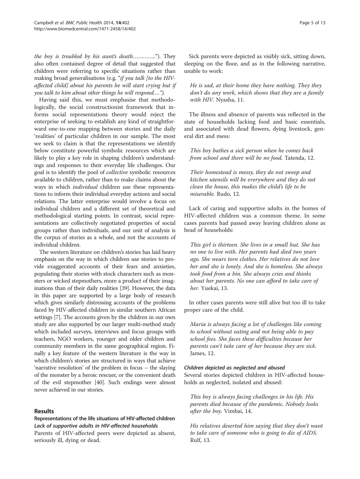the boy is troubled by his aunt's death………….."). They also often contained degree of detail that suggested that children were referring to specific situations rather than making broad generalisations (e.g. "if you talk [to the HIVaffected child] about his parents he will start crying but if you talk to him about other things he will respond….").

Having said this, we must emphasise that methodologically, the social constructionist framework that informs social representations theory would reject the enterprise of seeking to establish any kind of straightforward one-to-one mapping between stories and the daily 'realities' of particular children in our sample. The most we seek to claim is that the representations we identify below constitute powerful symbolic resources which are likely to play a key role in shaping children's understandings and responses to their everyday life challenges. Our goal is to identify the pool of collective symbolic resources available to children, rather than to make claims about the ways in which individual children use these representations to inform their individual everyday actions and social relations. The latter enterprise would involve a focus on individual children and a different set of theoretical and methodological starting points. In contrast, social representations are collectively negotiated properties of social groups rather than individuals, and our unit of analysis is the corpus of stories as a whole, and not the accounts of individual children.

The western literature on children's stories has laid heavy emphasis on the way in which children use stories to provide exaggerated accounts of their fears and anxieties, populating their stories with stock characters such as monsters or wicked stepmothers, more a product of their imaginations than of their daily realities [\[39\]](#page-13-0). However, the data in this paper are supported by a large body of research which gives similarly distressing accounts of the problems faced by HIV-affected children in similar southern African settings [\[7](#page-12-0)]. The accounts given by the children in our own study are also supported by our larger multi-method study which included surveys, interviews and focus groups with teachers, NGO workers, younger and older children and community members in the same geographical region. Finally a key feature of the western literature is the way in which children's stories are structured in ways that achieve 'narrative resolution' of the problem in focus – the slaying of the monster by a heroic rescuer, or the convenient death of the evil stepmother [[40](#page-13-0)]. Such endings were almost never achieved in our stories.

#### Results

#### Representations of the life situations of HIV-affected children Lack of supportive adults in HIV-affected households

Parents of HIV-affected peers were depicted as absent, seriously ill, dying or dead.

Sick parents were depicted as visibly sick, sitting down, sleeping on the floor, and as in the following narrative, unable to work:

He is sad, at their home they have nothing. They they don't do any work, which shows that they are a family with HIV. Nyasha, 11.

The illness and absence of parents was reflected in the state of households lacking food and basic essentials, and associated with dead flowers, dying livestock, general dirt and mess:

This boy bathes a sick person when he comes back from school and there will be no food. Tatenda, 12.

Their homestead is messy, they do not sweep and kitchen utensils will be everywhere and they do not clean the house, this makes the child's life to be miserable. Rudo, 12.

Lack of caring and supportive adults in the homes of HIV-affected children was a common theme. In some cases parents had passed away leaving children alone as head of households:

This girl is thirteen. She lives in a small hut. She has no one to live with. Her parents had died two years ago. She wears torn clothes. Her relatives do not love her and she is lonely. And she is homeless. She always took food from a bin. She always cries and thinks about her parents. No one can afford to take care of her. Yuekai, 13.

In other cases parents were still alive but too ill to take proper care of the child.

Maria is always facing a lot of challenges like coming to school without eating and not being able to pay school fees. She faces these difficulties because her parents can't take care of her because they are sick. James, 12.

#### Children depicted as neglected and abused

Several stories depicted children in HIV-affected households as neglected, isolated and abused:

This boy is always facing challenges in his life. His parents died because of the pandemic. Nobody looks after the boy. Vimbai, 14.

His relatives deserted him saying that they don't want to take care of someone who is going to die of AIDS. Rulf, 13.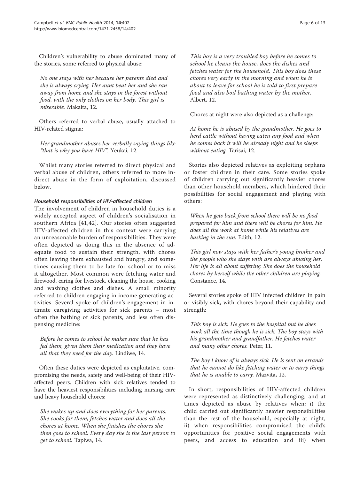Children's vulnerability to abuse dominated many of the stories, some referred to physical abuse:

No one stays with her because her parents died and she is always crying. Her aunt beat her and she ran away from home and she stays in the forest without food, with the only clothes on her body. This girl is miserable. Makaita, 12.

Others referred to verbal abuse, usually attached to HIV-related stigma:

Her grandmother abuses her verbally saying things like "that is why you have HIV". Yeukai, 12.

Whilst many stories referred to direct physical and verbal abuse of children, others referred to more indirect abuse in the form of exploitation, discussed below.

#### Household responsibilities of HIV-affected children

The involvement of children in household duties is a widely accepted aspect of children's socialisation in southern Africa [[41](#page-13-0),[42](#page-13-0)]. Our stories often suggested HIV-affected children in this context were carrying an unreasonable burden of responsibilities. They were often depicted as doing this in the absence of adequate food to sustain their strength, with chores often leaving them exhausted and hungry, and sometimes causing them to be late for school or to miss it altogether. Most common were fetching water and firewood, caring for livestock, cleaning the house, cooking and washing clothes and dishes. A small minority referred to children engaging in income generating activities. Several spoke of children's engagement in intimate caregiving activities for sick parents – most often the bathing of sick parents, and less often dispensing medicine:

Before he comes to school he makes sure that he has fed them, given them their medication and they have all that they need for the day. Lindiwe, 14.

Often these duties were depicted as exploitative, compromising the needs, safety and well-being of their HIVaffected peers. Children with sick relatives tended to have the heaviest responsibilities including nursing care and heavy household chores:

She wakes up and does everything for her parents. She cooks for them, fetches water and does all the chores at home. When she finishes the chores she then goes to school. Every day she is the last person to get to school. Tapiwa, 14.

This boy is a very troubled boy before he comes to school he cleans the house, does the dishes and fetches water for the household. This boy does these chores very early in the morning and when he is about to leave for school he is told to first prepare food and also boil bathing water by the mother. Albert, 12.

Chores at night were also depicted as a challenge:

At home he is abused by the grandmother. He goes to herd cattle without having eaten any food and when he comes back it will be already night and he sleeps without eating. Tarisai, 12.

Stories also depicted relatives as exploiting orphans or foster children in their care. Some stories spoke of children carrying out significantly heavier chores than other household members, which hindered their possibilities for social engagement and playing with others:

When he gets back from school there will be no food prepared for him and there will be chores for him. He does all the work at home while his relatives are basking in the sun. Edith, 12.

This girl now stays with her father's young brother and the people who she stays with are always abusing her. Her life is all about suffering. She does the household chores by herself while the other children are playing. Constance, 14.

Several stories spoke of HIV infected children in pain or visibly sick, with chores beyond their capability and strength:

This boy is sick. He goes to the hospital but he does work all the time though he is sick. The boy stays with his grandmother and grandfather. He fetches water and many other chores. Peter, 11.

The boy l know of is always sick. He is sent on errands that he cannot do like fetching water or to carry things that he is unable to carry. Mazvita, 12.

In short, responsibilities of HIV-affected children were represented as distinctively challenging, and at times depicted as abuse by relatives when: i) the child carried out significantly heavier responsibilities than the rest of the household, especially at night, ii) when responsibilities compromised the child's opportunities for positive social engagements with peers, and access to education and iii) when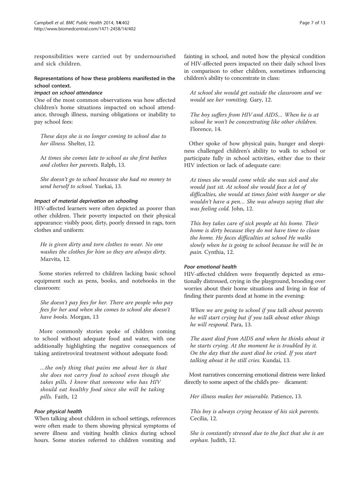responsibilities were carried out by undernourished and sick children.

#### Representations of how these problems manifested in the school context.

#### Impact on school attendance

One of the most common observations was how affected children's home situations impacted on school attendance, through illness, nursing obligations or inability to pay school fees:

These days she is no longer coming to school due to her illness. Shelter, 12.

At times she comes late to school as she first bathes and clothes her parents. Ralph, 13.

She doesn't go to school because she had no money to send herself to school. Yuekai, 13.

#### Impact of material deprivation on schooling

HIV-affected learners were often depicted as poorer than other children. Their poverty impacted on their physical appearance: visibly poor, dirty, poorly dressed in rags, torn clothes and uniform:

He is given dirty and torn clothes to wear. No one washes the clothes for him so they are always dirty. Mazvita, 12.

Some stories referred to children lacking basic school equipment such as pens, books, and notebooks in the classroom:

She doesn't pay fees for her. There are people who pay fees for her and when she comes to school she doesn't have books. Morgan, 13

More commonly stories spoke of children coming to school without adequate food and water, with one additionally highlighting the negative consequences of taking antiretroviral treatment without adequate food:

…the only thing that pains me about her is that she does not carry food to school even though she takes pills. I know that someone who has HIV should eat healthy food since she will be taking pills. Faith, 12

#### Poor physical health

When talking about children in school settings, references were often made to them showing physical symptoms of severe illness and visiting health clinics during school hours. Some stories referred to children vomiting and

fainting in school, and noted how the physical condition of HIV-affected peers impacted on their daily school lives in comparison to other children, sometimes influencing children's ability to concentrate in class:

At school she would get outside the classroom and we would see her vomiting. Gary, 12.

The boy suffers from HIV and AIDS… When he is at school he won't be concentrating like other children. Florence, 14.

Other spoke of how physical pain, hunger and sleepiness challenged children's ability to walk to school or participate fully in school activities, either due to their HIV infection or lack of adequate care:

At times she would come while she was sick and she would just sit. At school she would face a lot of difficulties, she would at times faint with hunger or she wouldn't have a pen… She was always saying that she was feeling cold. John, 12.

This boy takes care of sick people at his home. Their home is dirty because they do not have time to clean the home. He faces difficulties at school He walks slowly when he is going to school because he will be in pain. Cynthia, 12.

#### Poor emotional health

HIV-affected children were frequently depicted as emotionally distressed, crying in the playground, brooding over worries about their home situations and living in fear of finding their parents dead at home in the evening:

When we are going to school if you talk about parents he will start crying but if you talk about other things he will respond. Para, 13.

The aunt died from AIDS and when he thinks about it he starts crying. At the moment he is troubled by it. On the day that the aunt died he cried. If you start talking about it he still cries. Kundai, 13.

Most narratives concerning emotional distress were linked directly to some aspect of the child's pre- dicament:

Her illness makes her miserable. Patience, 13.

This boy is always crying because of his sick parents. Cecilia, 12.

She is constantly stressed due to the fact that she is an orphan. Judith, 12.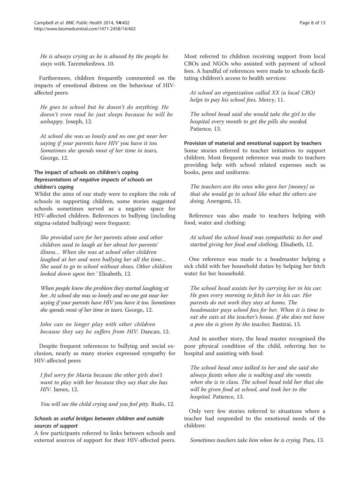He is always crying as he is abused by the people he stays with, Taremekedzwa. 10.

Furthermore, children frequently commented on the impacts of emotional distress on the behaviour of HIVaffected peers:

He goes to school but he doesn't do anything. He doesn't even read he just sleeps because he will be unhappy. Joseph, 12.

At school she was so lonely and no one got near her saying if your parents have HIV you have it too. Sometimes she spends most of her time in tears, George, 12.

#### The impact of schools on children's coping Representations of negative impacts of schools on children's coping

Whilst the aims of our study were to explore the role of schools in supporting children, some stories suggested schools sometimes served as a negative space for HIV-affected children. References to bullying (including stigma-related bullying) were frequent:

She provided care for her parents alone and other children used to laugh at her about her parents' illness… When she was at school other children laughed at her and were bullying her all the time… She used to go to school without shoes. Other children looked down upon her.' Elisabeth, 12.

When people knew the problem they started laughing at her. At school she was so lonely and no one got near her saying if your parents have HIV you have it too. Sometimes she spends most of her time in tears. George, 12.

John can no longer play with other children because they say he suffers from HIV. Dancan, 12.

Despite frequent references to bullying and social exclusion, nearly as many stories expressed sympathy for HIV-affected peers

I feel sorry for Maria because the other girls don't want to play with her because they say that she has HIV. James, 12.

You will see the child crying and you feel pity. Rudo, 12.

#### Schools as useful bridges between children and outside sources of support

A few participants referred to links between schools and external sources of support for their HIV-affected peers.

Most referred to children receiving support from local CBOs and NGOs who assisted with payment of school fees. A handful of references were made to schools facilitating children's access to health services:

At school an organization called XX (a local CBO) helps to pay his school fees. Mercy, 11.

The school head said she would take the girl to the hospital every month to get the pills she needed. Patience, 13.

Provision of material and emotional support by teachers Some stories referred to teacher initiatives to support children. Most frequent reference was made to teachers providing help with school related expenses such as books, pens and uniforms:

The teachers are the ones who gave her [money] so that she would go to school like what the others are doing, Anengoni, 15.

Reference was also made to teachers helping with food, water and clothing:

At school the school head was sympathetic to her and started giving her food and clothing, Elisabeth, 12.

One reference was made to a headmaster helping a sick child with her household duties by helping her fetch water for her household.

The school head assists her by carrying her in his car. He goes every morning to fetch her in his car. Her parents do not work they stay at home. The headmaster pays school fees for her. When it is time to eat she eats at the teacher's house. If she does not have a pen she is given by the teacher, Bastirai, 13.

And in another story, the head master recognised the poor physical condition of the child, referring her to hospital and assisting with food:

The school head once talked to her and she said she always faints when she is walking and she vomits when she is in class. The school head told her that she will be given food at school, and took her to the hospital. Patience, 13.

Only very few stories referred to situations where a teacher had responded to the emotional needs of the children:

Sometimes teachers take him when he is crying. Para, 13.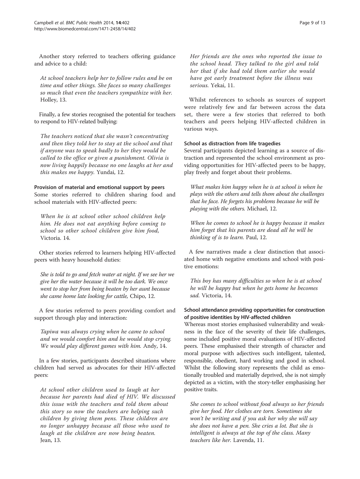Another story referred to teachers offering guidance and advice to a child:

At school teachers help her to follow rules and be on time and other things. She faces so many challenges so much that even the teachers sympathize with her. Holley, 13.

Finally, a few stories recognised the potential for teachers to respond to HIV-related bullying:

The teachers noticed that she wasn't concentrating and then they told her to stay at the school and that if anyone was to speak badly to her they would be called to the office or given a punishment. Olivia is now living happily because no one laughs at her and this makes me happy. Yundai, 12.

Provision of material and emotional support by peers Some stories referred to children sharing food and school materials with HIV-affected peers:

When he is at school other school children help him. He does not eat anything before coming to school so other school children give him food, Victoria. 14.

Other stories referred to learners helping HIV-affected peers with heavy household duties:

She is told to go and fetch water at night. If we see her we give her the water because it will be too dark. We once went to stop her from being beaten by her aunt because she came home late looking for cattle, Chipo, 12.

A few stories referred to peers providing comfort and support through play and interaction:

Tapiwa was always crying when he came to school and we would comfort him and he would stop crying. We would play different games with him. Andy, 14.

In a few stories, participants described situations where children had served as advocates for their HIV-affected peers:

At school other children used to laugh at her because her parents had died of HIV. We discussed this issue with the teachers and told them about this story so now the teachers are helping such children by giving them pens. These children are no longer unhappy because all those who used to laugh at the children are now being beaten. Jean, 13.

Her friends are the ones who reported the issue to the school head. They talked to the girl and told her that if she had told them earlier she would have got early treatment before the illness was serious. Yekai, 11.

Whilst references to schools as sources of support were relatively few and far between across the data set, there were a few stories that referred to both teachers and peers helping HIV-affected children in various ways.

#### School as distraction from life tragedies

Several participants depicted learning as a source of distraction and represented the school environment as providing opportunities for HIV-affected peers to be happy, play freely and forget about their problems.

What makes him happy when he is at school is when he plays with the others and tells them about the challenges that he face. He forgets his problems because he will be playing with the others. Michael, 12.

When he comes to school he is happy because it makes him forget that his parents are dead all he will be thinking of is to learn. Paul, 12.

A few narratives made a clear distinction that associated home with negative emotions and school with positive emotions:

This boy has many difficulties so when he is at school he will be happy but when he gets home he becomes sad. Victoria, 14.

#### School attendance providing opportunities for construction of positive identities by HIV-affected children

Whereas most stories emphasised vulnerability and weakness in the face of the severity of their life challenges, some included positive moral evaluations of HIV-affected peers. These emphasised their strength of character and moral purpose with adjectives such intelligent, talented, responsible, obedient, hard working and good in school. Whilst the following story represents the child as emotionally troubled and materially deprived, she is not simply depicted as a victim, with the story-teller emphasising her positive traits.

She comes to school without food always so her friends give her food. Her clothes are torn. Sometimes she won't be writing and if you ask her why she will say she does not have a pen. She cries a lot. But she is intelligent is always at the top of the class. Many teachers like her. Lavenda, 11.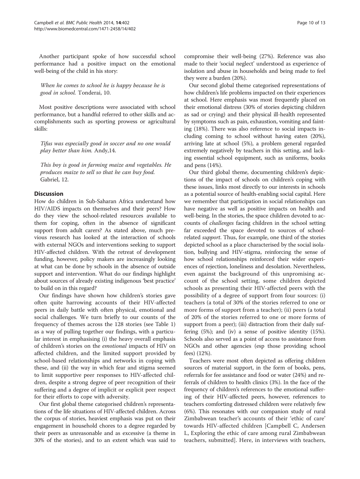Another participant spoke of how successful school performance had a positive impact on the emotional well-being of the child in his story:

When he comes to school he is happy because he is good in school. Tonderai, 10.

Most positive descriptions were associated with school performance, but a handful referred to other skills and accomplishments such as sporting prowess or agricultural skills:

Tifus was especially good in soccer and no one would play better than him. Andy,14.

This boy is good in farming maize and vegetables. He produces maize to sell so that he can buy food. Gabriel, 12.

#### Discussion

How do children in Sub-Saharan Africa understand how HIV/AIDS impacts on themselves and their peers? How do they view the school-related resources available to them for coping, often in the absence of significant support from adult carers? As stated above, much previous research has looked at the interaction of schools with external NGOs and interventions seeking to support HIV-affected children. With the retreat of development funding, however, policy makers are increasingly looking at what can be done by schools in the absence of outside support and intervention. What do our findings highlight about sources of already existing indigenous 'best practice' to build on in this regard?

Our findings have shown how children's stories gave often quite harrowing accounts of their HIV-affected peers in daily battle with often physical, emotional and social challenges. We turn briefly to our counts of the frequency of themes across the 128 stories (see Table [1](#page-4-0)) as a way of pulling together our findings, with a particular interest in emphasising (i) the heavy overall emphasis of children's stories on the emotional impacts of HIV on affected children, and the limited support provided by school-based relationships and networks in coping with these, and (ii) the way in which fear and stigma seemed to limit supportive peer responses to HIV-affected children, despite a strong degree of peer recognition of their suffering and a degree of implicit or explicit peer respect for their efforts to cope with adversity.

Our first global theme categorised children's representations of the life situations of HIV-affected children. Across the corpus of stories, heaviest emphasis was put on their engagement in household chores to a degree regarded by their peers as unreasonable and as excessive (a theme in 30% of the stories), and to an extent which was said to compromise their well-being (27%). Reference was also made to their 'social neglect' understood as experience of isolation and abuse in households and being made to feel they were a burden (20%).

Our second global theme categorised representations of how children's life problems impacted on their experiences at school. Here emphasis was most frequently placed on their emotional distress (30% of stories depicting children as sad or crying) and their physical ill-health represented by symptoms such as pain, exhaustion, vomiting and fainting (18%). There was also reference to social impacts including coming to school without having eaten (20%), arriving late at school (5%), a problem general regarded extremely negatively by teachers in this setting, and lacking essential school equipment, such as uniforms, books and pens (14%).

Our third global theme, documenting children's depictions of the impact of schools on children's coping with these issues, links most directly to our interests in schools as a potential source of health-enabling social capital. Here we remember that participation in social relationships can have negative as well as positive impacts on health and well-being. In the stories, the space children devoted to accounts of challenges facing children in the school setting far exceeded the space devoted to sources of schoolrelated support. Thus, for example, one third of the stories depicted school as a place characterised by the social isolation, bullying and HIV-stigma, reinforcing the sense of how school relationships reinforced their wider experiences of rejection, loneliness and desolation. Nevertheless, even against the background of this unpromising account of the school setting, some children depicted schools as presenting their HIV-affected peers with the possibility of a degree of support from four sources: (i) teachers (a total of 30% of the stories referred to one or more forms of support from a teacher); (ii) peers (a total of 20% of the stories referred to one or more forms of support from a peer); (iii) distraction from their daily suffering (5%); and (iv) a sense of positive identity (15%). Schools also served as a point of access to assistance from NGOs and other agencies (esp those providing school fees) (12%).

Teachers were most often depicted as offering children sources of material support, in the form of books, pens, referrals for fee assistance and food or water (24%) and referrals of children to health clinics (3%). In the face of the frequency of children's references to the emotional suffering of their HIV-affected peers, however, references to teachers comforting distressed children were relatively few (6%). This resonates with our companion study of rural Zimbabwean teacher's accounts of their 'ethic of care' towards HIV-affected children [Campbell C, Andersen L, Exploring the ethic of care among rural Zimbabwean teachers, submitted]. Here, in interviews with teachers,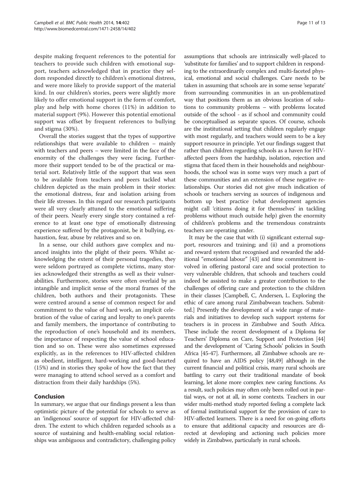despite making frequent references to the potential for teachers to provide such children with emotional support, teachers acknowledged that in practice they seldom responded directly to children's emotional distress, and were more likely to provide support of the material kind. In our children's stories, peers were slightly more likely to offer emotional support in the form of comfort, play and help with home chores (11%) in addition to material support (9%). However this potential emotional support was offset by frequent references to bullying and stigma (30%).

Overall the stories suggest that the types of supportive relationships that were available to children – mainly with teachers and peers – were limited in the face of the enormity of the challenges they were facing. Furthermore their support tended to be of the practical or material sort. Relatively little of the support that was seen to be available from teachers and peers tackled what children depicted as the main problem in their stories: the emotional distress, fear and isolation arising from their life stresses. In this regard our research participants were all very clearly attuned to the emotional suffering of their peers. Nearly every single story contained a reference to at least one type of emotionally distressing experience suffered by the protagonist, be it bullying, exhaustion, fear, abuse by relatives and so on.

In a sense, our child authors gave complex and nuanced insights into the plight of their peers. Whilst acknowledging the extent of their personal tragedies, they were seldom portrayed as complete victims, many stories acknowledged their strengths as well as their vulnerabilities. Furthermore, stories were often overlaid by an intangible and implicit sense of the moral frames of the children, both authors and their protagonists. These were centred around a sense of common respect for and commitment to the value of hard work, an implicit celebration of the value of caring and loyalty to one's parents and family members, the importance of contributing to the reproduction of one's household and its members, the importance of respecting the value of school education and so on. These were also sometimes expressed explicitly, as in the references to HIV-affected children as obedient, intelligent, hard-working and good-hearted (15%) and in stories they spoke of how the fact that they were managing to attend school served as a comfort and distraction from their daily hardships (5%).

#### Conclusion

In summary, we argue that our findings present a less than optimistic picture of the potential for schools to serve as an 'indigenous' source of support for HIV-affected children. The extent to which children regarded schools as a source of sustaining and health-enabling social relationships was ambiguous and contradictory, challenging policy

assumptions that schools are intrinsically well-placed to 'substitute for families' and to support children in responding to the extraordinarily complex and multi-faceted physical, emotional and social challenges. Care needs to be taken in assuming that schools are in some sense 'separate' from surrounding communities in an un-problematized way that positions them as an obvious location of solutions to community problems – with problems located outside of the school - as if school and community could be conceptualised as separate spaces. Of course, schools are the institutional setting that children regularly engage with most regularly, and teachers would seem to be a key support resource in principle. Yet our findings suggest that rather than children regarding schools as a haven for HIVaffected peers from the hardship, isolation, rejection and stigma that faced them in their households and neighbourhoods, the school was in some ways very much a part of these communities and an extension of these negative relationships. Our stories did not give much indication of schools or teachers serving as sources of indigenous and bottom up best practice (what development agencies might call 'citizens doing it for themselves' in tackling problems without much outside help) given the enormity of children's problems and the tremendous constraints teachers are operating under.

It may be the case that with (i) significant external support, resources and training; and (ii) and a promotions and reward system that recognised and rewarded the additional "emotional labour" [\[43\]](#page-13-0) and time commitment involved in offering pastoral care and social protection to very vulnerable children, that schools and teachers could indeed be assisted to make a greater contribution to the challenges of offering care and protection to the children in their classes [Campbell, C, Andersen, L. Exploring the ethic of care among rural Zimbabwean teachers. Submitted.] Presently the development of a wide range of materials and initiatives to develop such support systems for teachers is in process in Zimbabwe and South Africa. These include the recent development of a Diploma for Teachers' Diploma on Care, Support and Protection [\[44](#page-13-0)] and the development of 'Caring Schools' policies in South Africa [\[45-47](#page-13-0)]. Furthermore, all Zimbabwe schools are required to have an AIDS policy [\[48,49](#page-13-0)] although in the current financial and political crisis, many rural schools are battling to carry out their traditional mandate of book learning, let alone more complex new caring functions. As a result, such policies may often only been rolled out in partial ways, or not at all, in some contexts. Teachers in our wider multi-method study reported feeling a complete lack of formal institutional support for the provision of care to HIV-affected learners. There is a need for on-going efforts to ensure that additional capacity and resources are directed at developing and actioning such policies more widely in Zimbabwe, particularly in rural schools.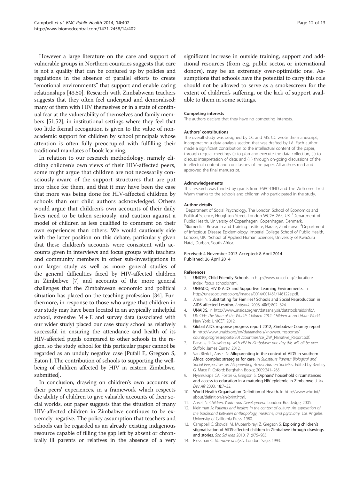<span id="page-12-0"></span>However a large literature on the care and support of vulnerable groups in Northern countries suggests that care is not a quality that can be conjured up by policies and regulations in the absence of parallel efforts to create "emotional environments" that support and enable caring relationships [[43,50](#page-13-0)]. Research with Zimbabwean teachers suggests that they often feel underpaid and demoralised; many of them with HIV themselves or in a state of continual fear at the vulnerability of themselves and family members [\[51,52\]](#page-13-0), in institutional settings where they feel that too little formal recognition is given to the value of nonacademic support for children by school principals whose attention is often fully preoccupied with fulfilling their traditional mandates of book learning.

In relation to our research methodology, namely eliciting children's own views of their HIV-affected peers, some might argue that children are not necessarily consciously aware of the support structures that are put into place for them, and that it may have been the case that more was being done for HIV-affected children by schools than our child authors acknowledged. Others would argue that children's own accounts of their daily lives need to be taken seriously, and caution against a model of children as less qualified to comment on their own experiences than others. We would cautiously side with the latter position on this debate, particularly given that these children's accounts were consistent with accounts given in interviews and focus groups with teachers and community members in other sub-investigations in our larger study as well as more general studies of the general difficulties faced by HIV-affected children in Zimbabwe [7] and accounts of the more general challenges that the Zimbabwean economic and political situation has placed on the teaching profession [\[34\]](#page-13-0). Furthermore, in response to those who argue that children in our study may have been located in an atypically unhelpful school, extensive  $M + E$  and survey data (associated with our wider study) placed our case study school as relatively successful in ensuring the attendance and health of its HIV-affected pupils compared to other schools in the region, so the study school for this particular paper cannot be regarded as an unduly negative case [Pufall E, Gregson S, Eaton J, The contribution of schools to supporting the wellbeing of children affected by HIV in eastern Zimbabwe, submitted].

In conclusion, drawing on children's own accounts of their peers' experiences, in a framework which respects the ability of children to give valuable accounts of their social worlds, our paper suggests that the situation of many HIV-affected children in Zimbabwe continues to be extremely negative. The policy assumption that teachers and schools can be regarded as an already existing indigenous resource capable of filling the gap left by absent or chronically ill parents or relatives in the absence of a very significant increase in outside training, support and additional resources (from e.g. public sector, or international donors), may be an extremely over-optimistic one. Assumptions that schools have the potential to carry this role should not be allowed to serve as a smokescreen for the extent of children's suffering, or the lack of support available to them in some settings.

#### Competing interests

The authors declare that they have no competing interests.

#### Authors' contributions

The overall study was designed by CC and MS. CC wrote the manuscript, incorporating a data analysis section that was drafted by LA. Each author made a significant contribution to the intellectual content of the paper, through regular meetings (i) to plan and execute the data collection, (ii) to discuss interpretation of data; and (iii) through on-going discussions of the intellectual content and conclusions of the paper. All authors read and approved the final manuscript.

#### Acknowledgements

This research was funded by grants from ESRC-DFID and The Wellcome Trust. Warm thanks to the schools and children who participated in the study.

#### Author details

<sup>1</sup>Department of Social Psychology, The London School of Economics and Political Science, Houghton Street, London WC2A 2AE, UK. <sup>2</sup>Department of Public Health, University of Copenhagen, Copenhagen, Denmark. <sup>3</sup>Biomedical Research and Training Institute, Harare, Zimbabwe. <sup>4</sup>Department of Infectious Disease Epidemiology, Imperial College School of Public Health, London, UK.<sup>5</sup>School of Applied Human Sciences, University of KwaZulu Natal, Durban, South Africa.

#### Received: 4 November 2013 Accepted: 8 April 2014 Published: 26 April 2014

#### References

- 1. UNICEF, Child Friendly Schools. In [http://www.unicef.org/education/](http://www.unicef.org/education/index_focus_schools.html) [index\\_focus\\_schools.html](http://www.unicef.org/education/index_focus_schools.html).
- 2. UNESCO, HIV & AIDS and Supportive Learning Environments. In <http://unesdoc.unesco.org/images/0014/001461/146122e.pdf>.
- 3. Ansell N: Substituting for Families? Schools and Social Reproduction in
- AIDS-affected Lesotho. Antipode 2008, 40(5):802–824. 4. UNAIDS. In [http://www.unaids.org/en/dataanalysis/datatools/aidsinfo/.](http://www.unaids.org/en/dataanalysis/datatools/aidsinfo/)
- 5. UNICEF: The State of the World's Children 2012: Children in an Urban World. New York: UNICEF; 2012.
- 6. Global AIDS response progress report 2012, Zimbabwe Country report. In [http://www.unaids.org/en/dataanalysis/knowyourresponse/](http://www.unaids.org/en/dataanalysis/knowyourresponse/countryprogressreports/2012countries/ce_ZW_Narrative_Report.pdf)
- [countryprogressreports/2012countries/ce\\_ZW\\_Narrative\\_Report.pdf.](http://www.unaids.org/en/dataanalysis/knowyourresponse/countryprogressreports/2012countries/ce_ZW_Narrative_Report.pdf) 7. Parsons R: Growing up with HIV in Zimbabwe: one day this will all be over. Suffolk: James Currey; 2012.
- Van Blerk L, Ansell N: Alloparenting in the context of AIDS in southern Africa: complex strategies for care. In Substitute Parents: Biological and Social Perspectives on Alloparenting Across Human Societies. Edited by Bentley G, Mace R. Oxford: Berghahn Books; 2009:241–265.
- 9. Nyamukapa CA, Foster G, Gregson S: Orphans' household circumstances and access to education in a maturing HIV epidemic in Zimbabwe. J Soc Dev Afr 2003, 18:7–32.
- 10. World Health Organisation Definition of Health. In [http://www.who.int/](http://www.who.int/about/definition/en/print.html) [about/definition/en/print.html.](http://www.who.int/about/definition/en/print.html)
- 11. Ansell N: Children, Youth and Development. London: Routledge; 2005.
- 12. Kleinman A: Patients and healers in the context of culture: An exploration of the borderland between anthropology, medicine, and psychiatry. Los Angeles: University of California Press; 1980.
- 13. Campbell C, Skovdal M, Mupambireyi Z, Gregson S: Exploring children's stigmatisation of AIDS-affected children in Zimbabwe through drawings and stories. Soc Sci Med 2010, 71:975–985.
- 14. Riessman C: Narrative analysis. London: Sage; 1993.